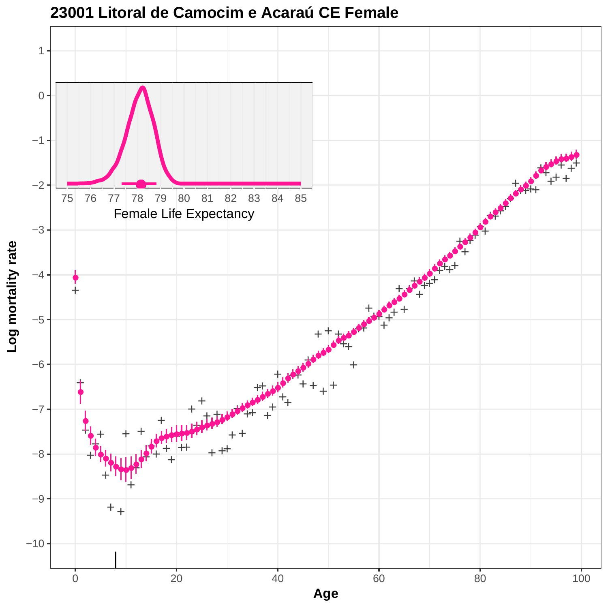

**23001 Litoral de Camocim e Acaraú CE Female**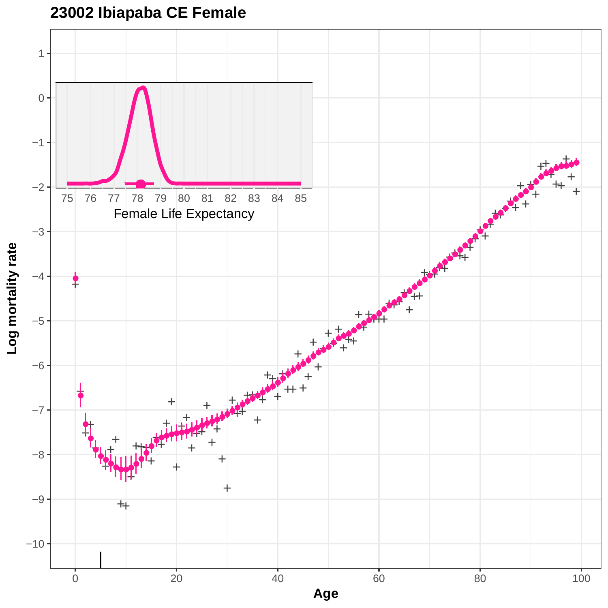**23002 Ibiapaba CE Female**

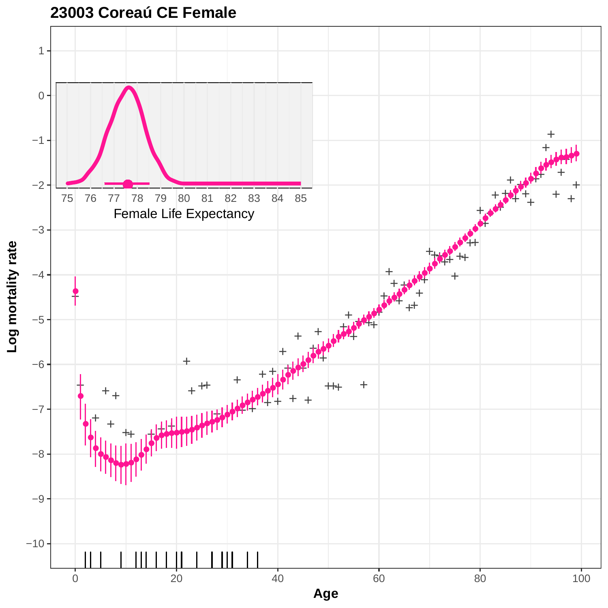

#### **23003 Coreaú CE Female**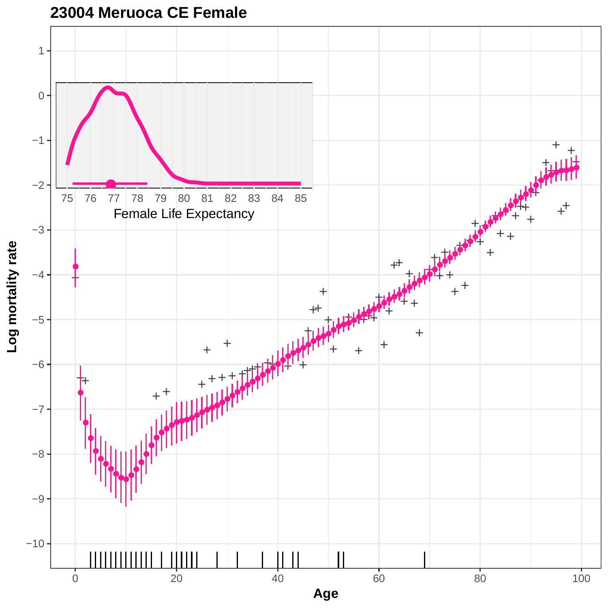

# **23004 Meruoca CE Female**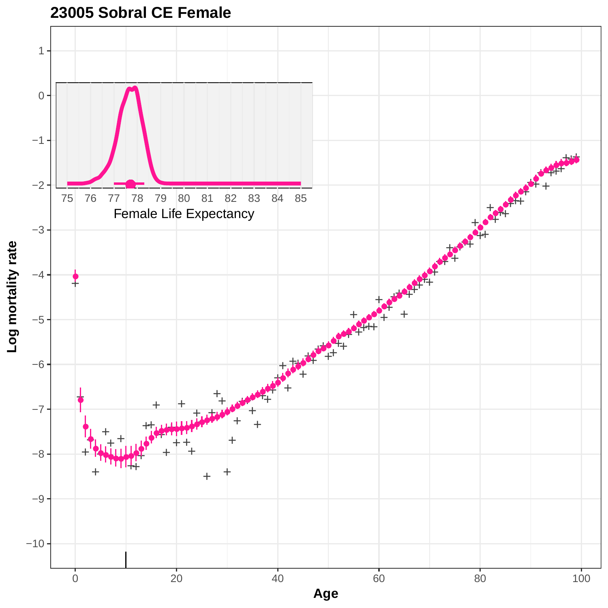

**23005 Sobral CE Female**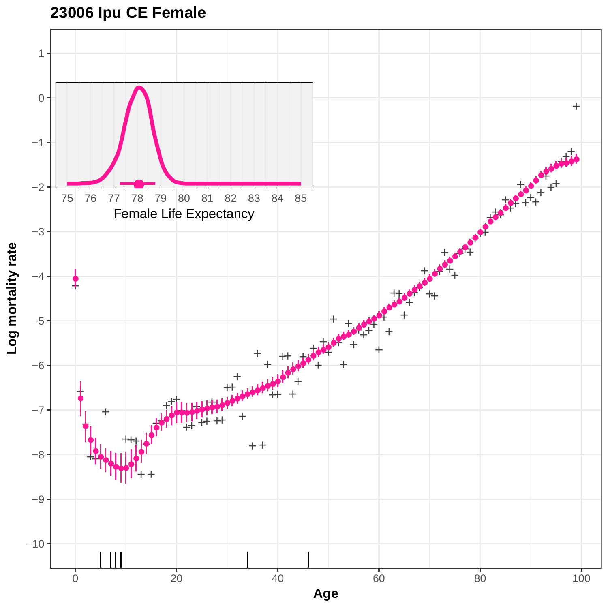# **23006 Ipu CE Female**

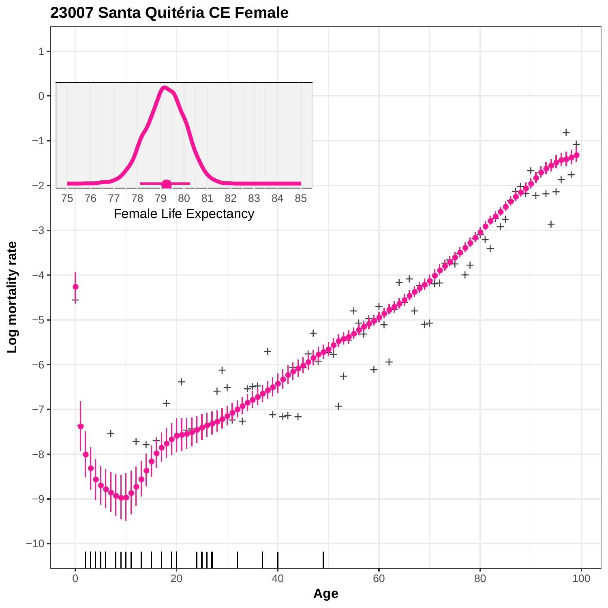

**23007 Santa Quitéria CE Female**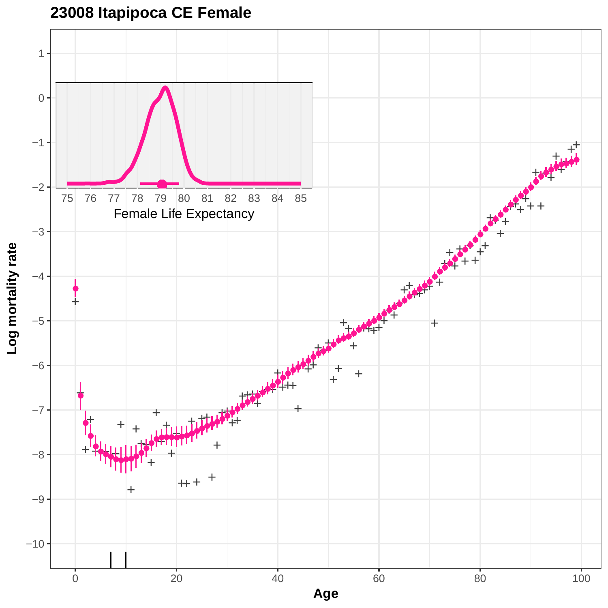

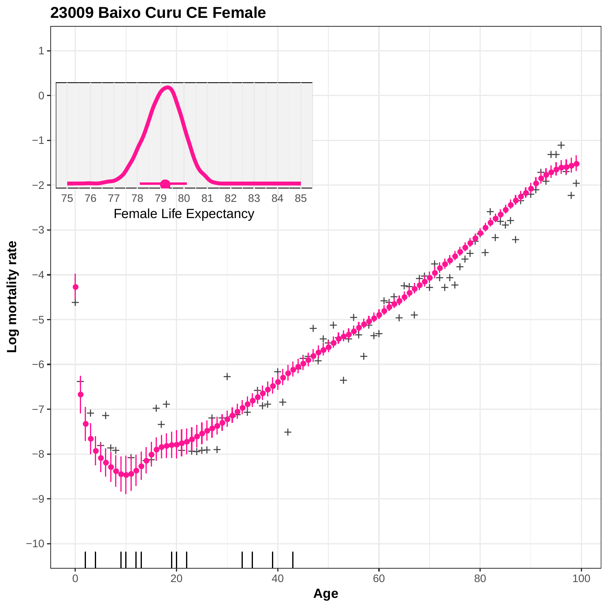

### **23009 Baixo Curu CE Female**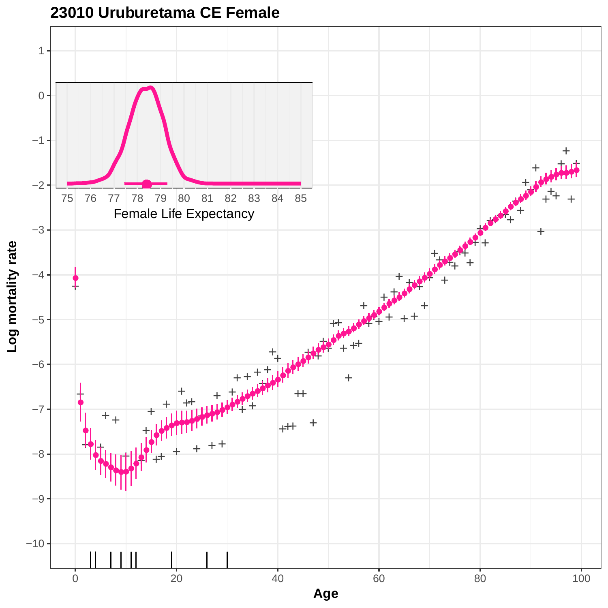

**23010 Uruburetama CE Female**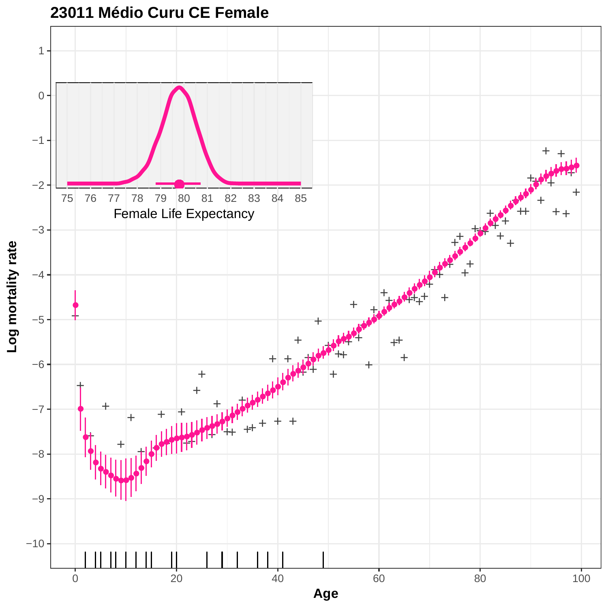

**23011 Médio Curu CE Female**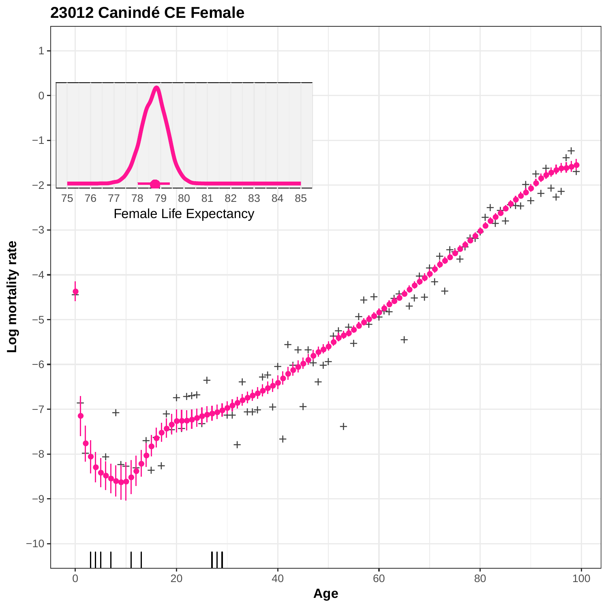

**23012 Canindé CE Female**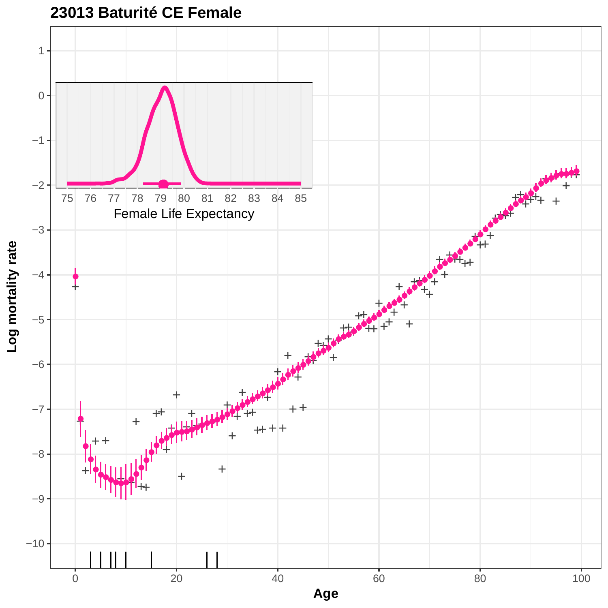

**23013 Baturité CE Female**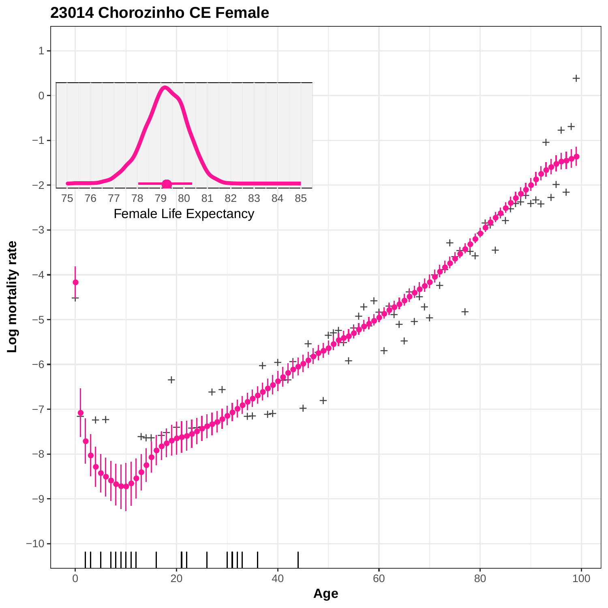

**23014 Chorozinho CE Female**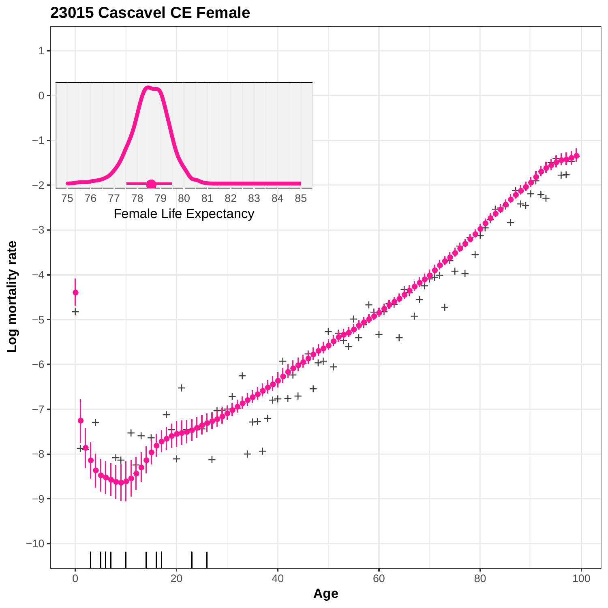

**23015 Cascavel CE Female**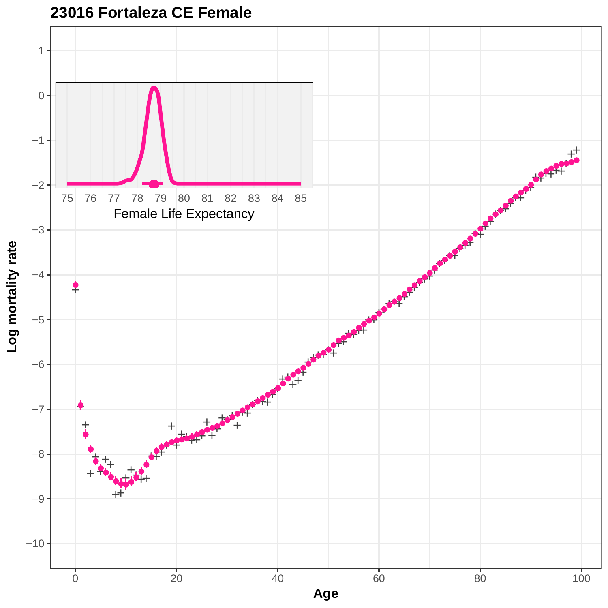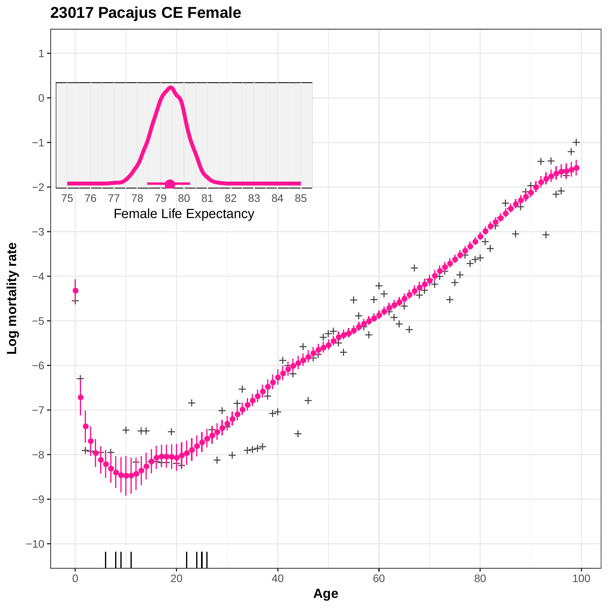

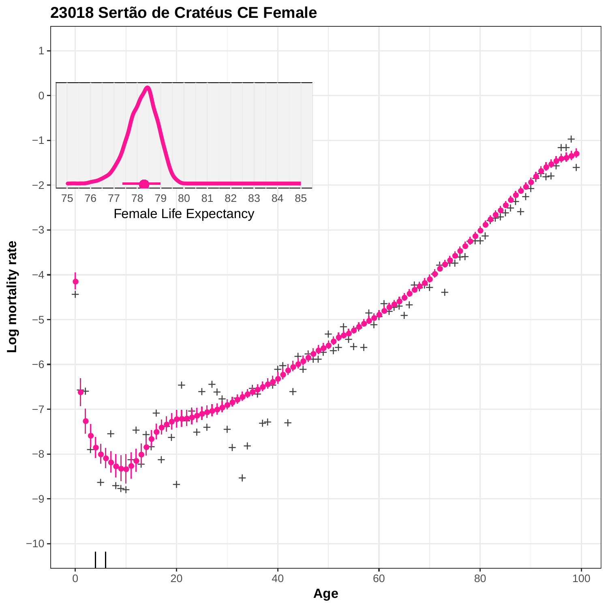

**23018 Sertão de Cratéus CE Female**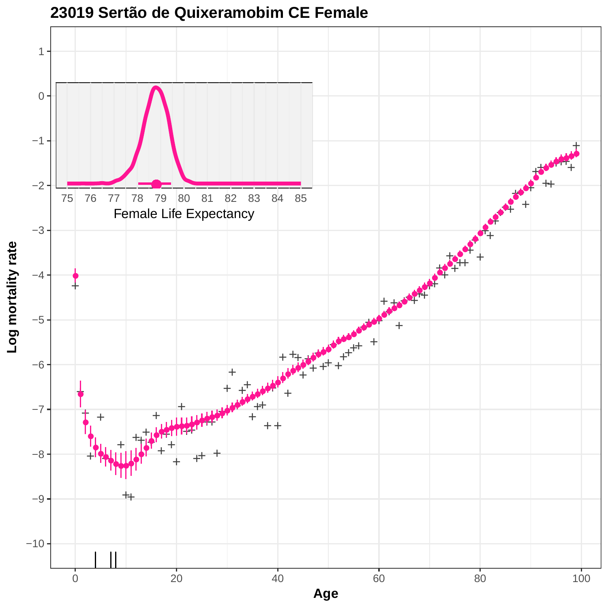

# **23019 Sertão de Quixeramobim CE Female**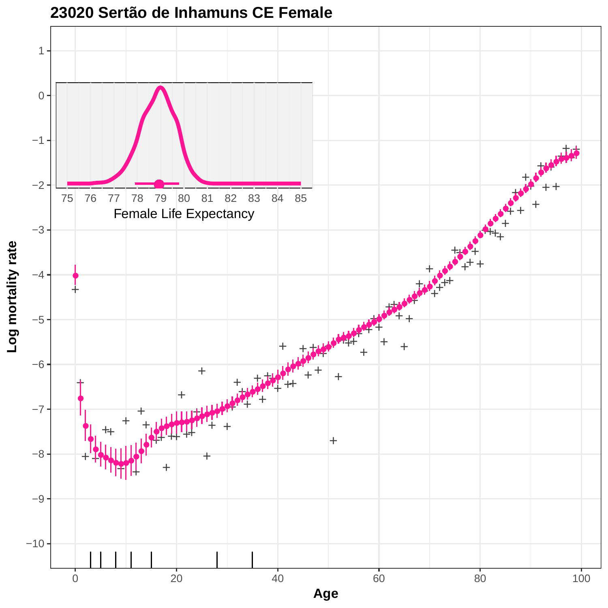

**23020 Sertão de Inhamuns CE Female**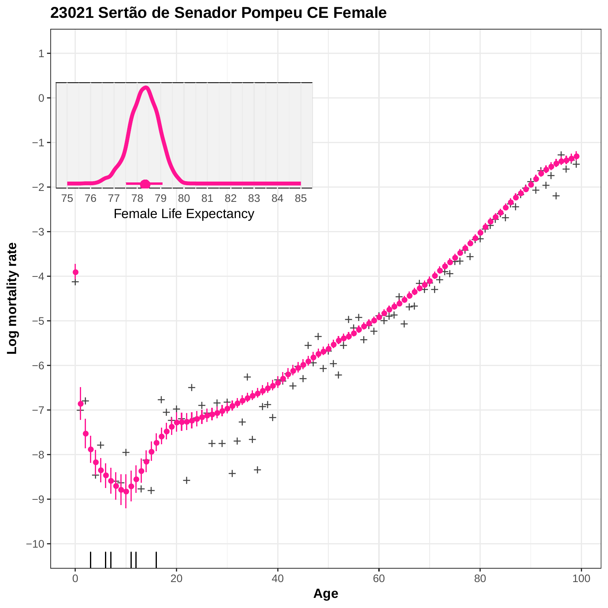

**23021 Sertão de Senador Pompeu CE Female**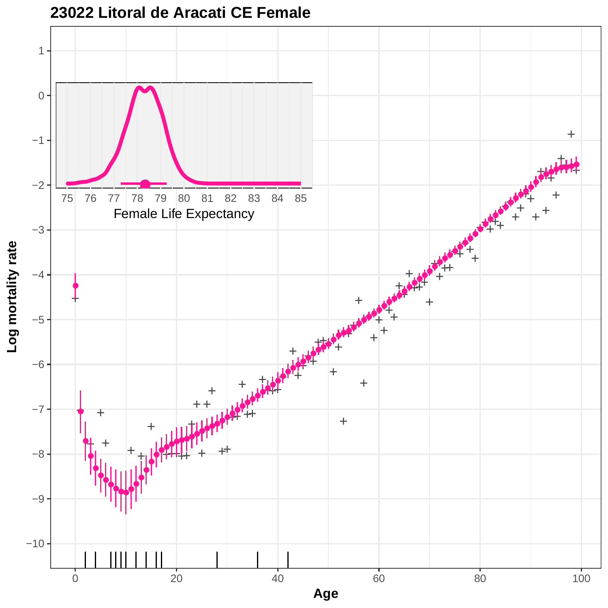

**23022 Litoral de Aracati CE Female**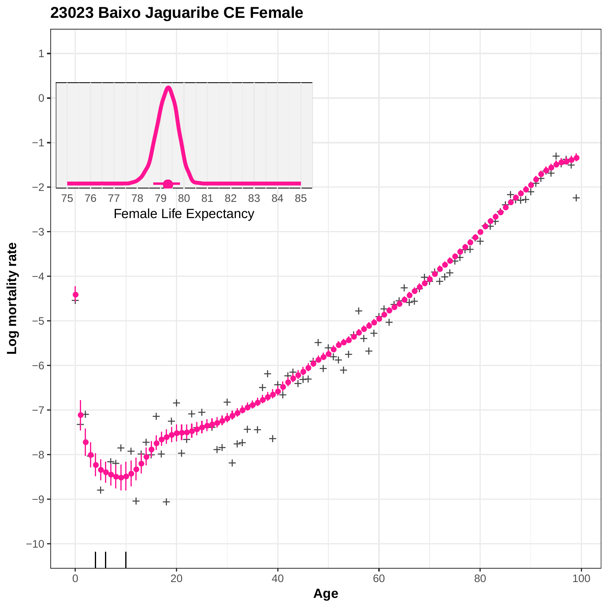

### **23023 Baixo Jaguaribe CE Female**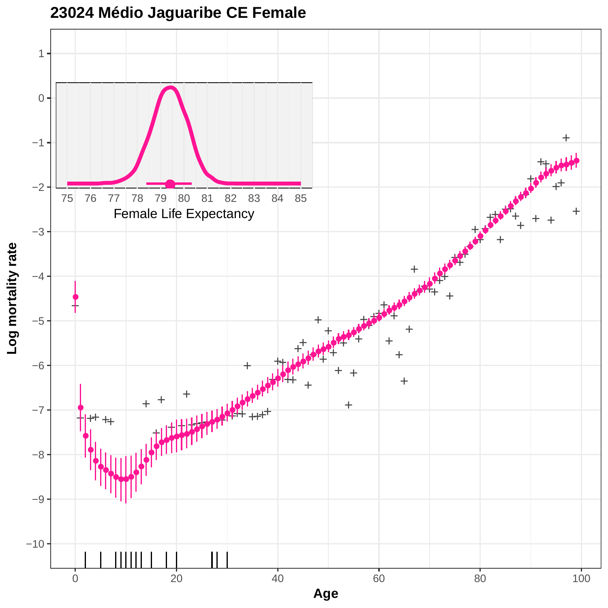

### **23024 Médio Jaguaribe CE Female**

0 20 20 40 60 80 80 100 **Age**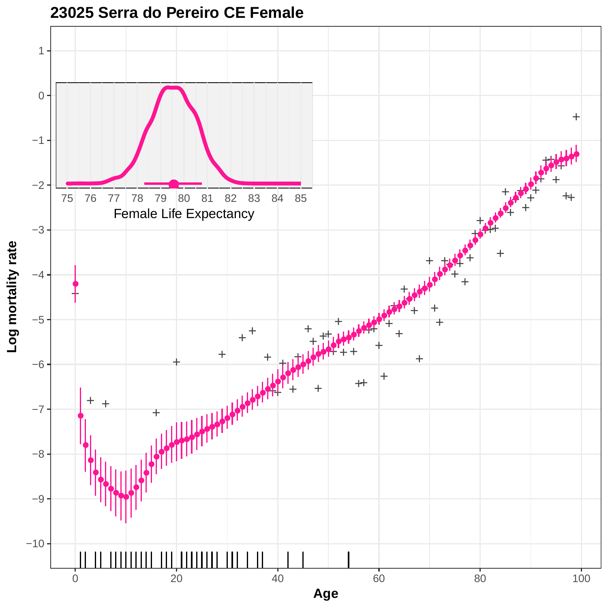

### **23025 Serra do Pereiro CE Female**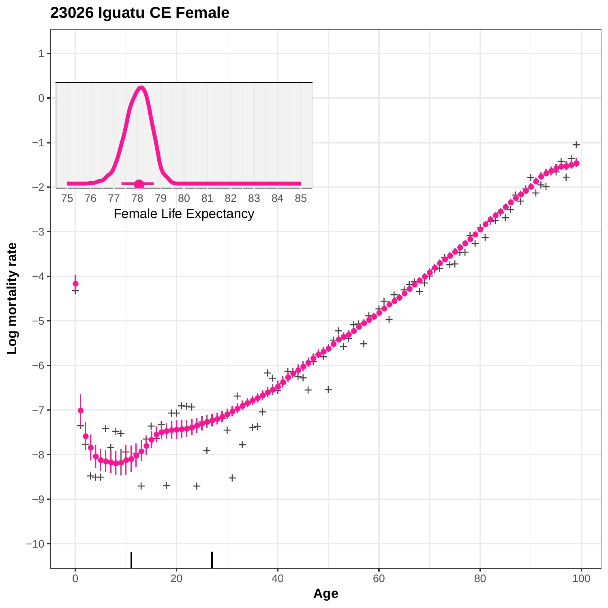# **23026 Iguatu CE Female**

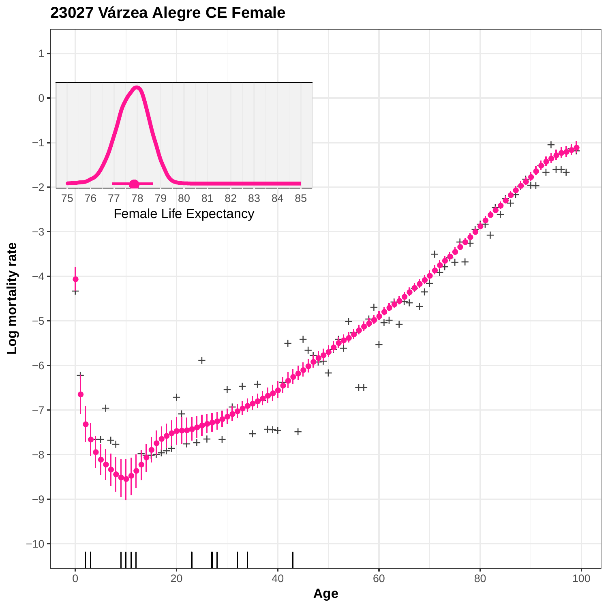![](_page_26_Figure_0.jpeg)

![](_page_26_Figure_1.jpeg)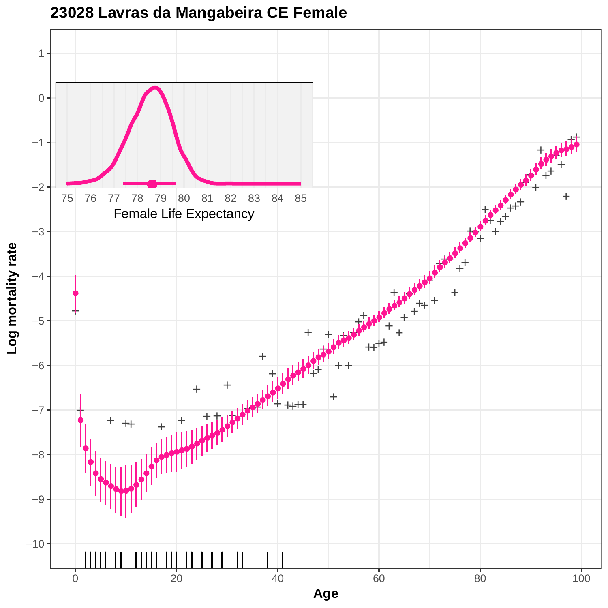![](_page_27_Figure_0.jpeg)

**23028 Lavras da Mangabeira CE Female**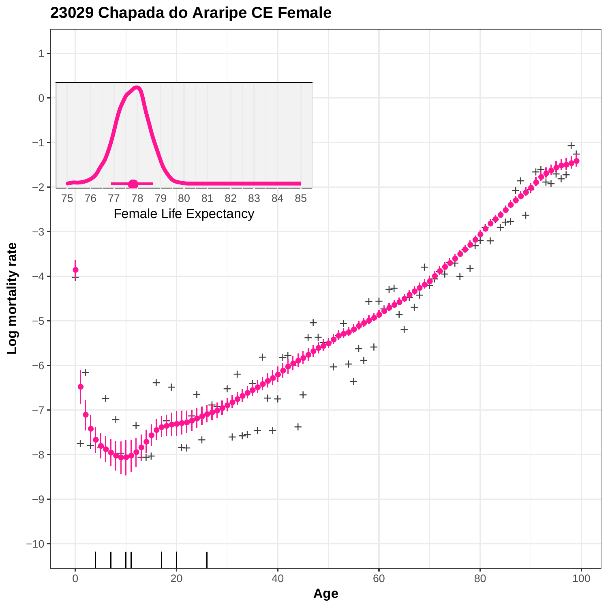![](_page_28_Figure_0.jpeg)

### **23029 Chapada do Araripe CE Female**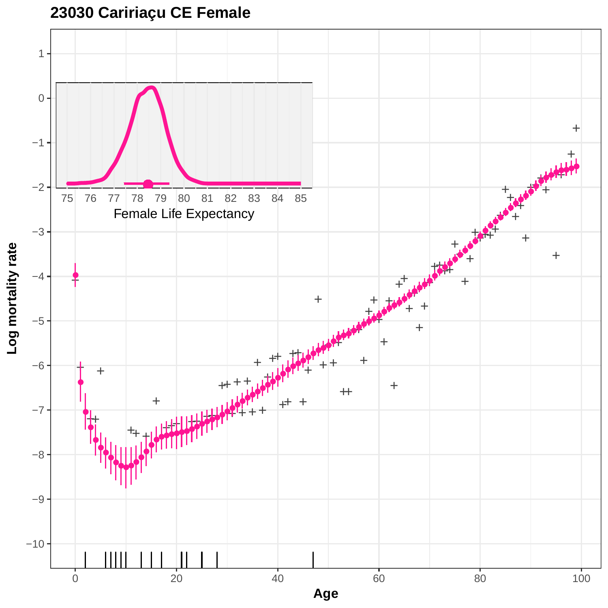![](_page_29_Figure_0.jpeg)

![](_page_29_Figure_1.jpeg)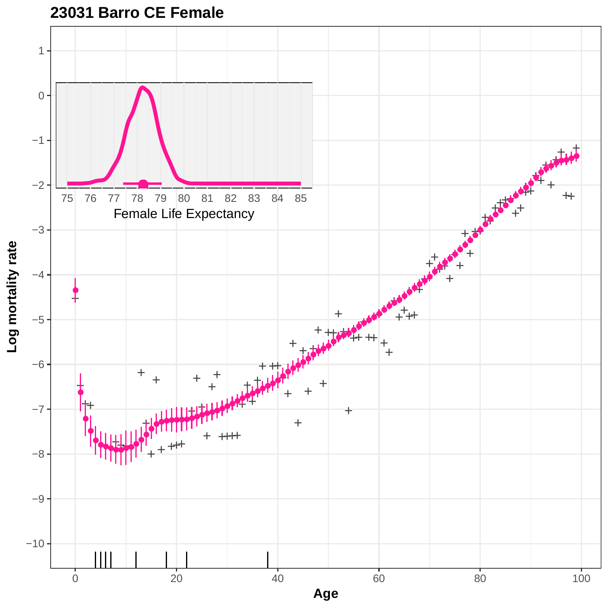![](_page_30_Figure_0.jpeg)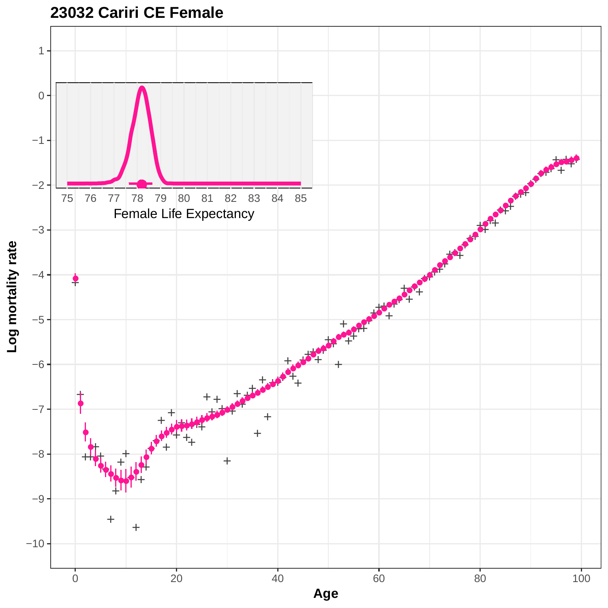![](_page_31_Figure_0.jpeg)